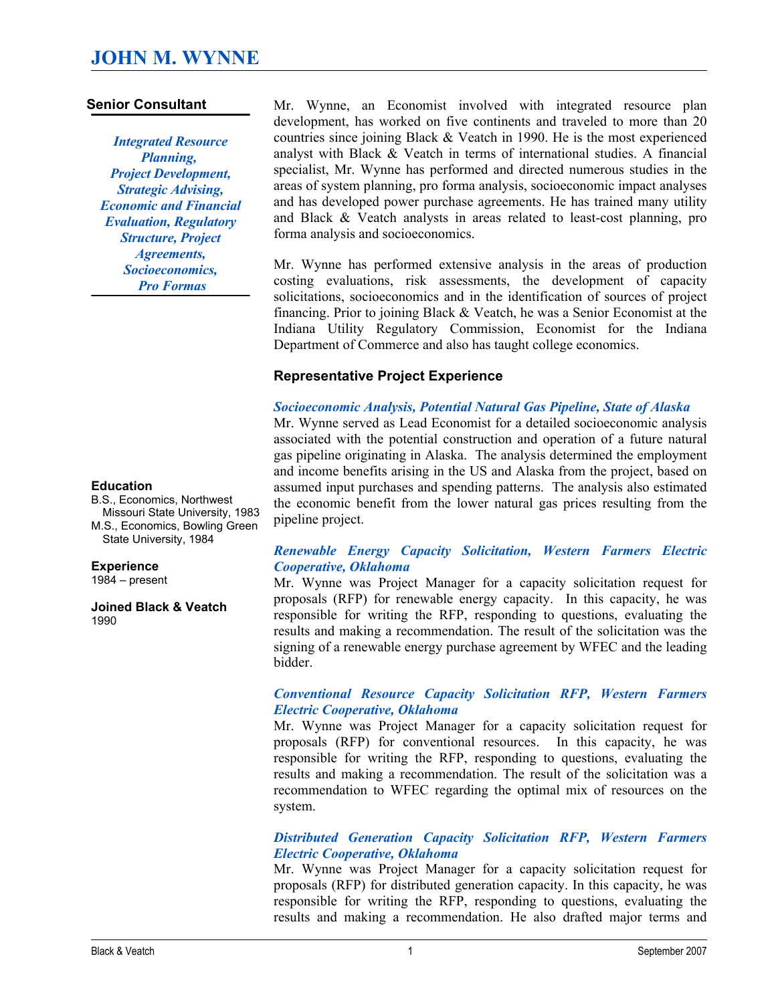### **Senior Consultant**

*Integrated Resource Planning, Project Development, Strategic Advising, Economic and Financial Evaluation, Regulatory Structure, Project Agreements, Socioeconomics, Pro Formas*

#### **Education**

B.S., Economics, Northwest Missouri State University, 1983 M.S., Economics, Bowling Green State University, 1984

#### **Experience**

1984 – present

**Joined Black & Veatch**  1990

Mr. Wynne, an Economist involved with integrated resource plan development, has worked on five continents and traveled to more than 20 countries since joining Black & Veatch in 1990. He is the most experienced analyst with Black & Veatch in terms of international studies. A financial specialist, Mr. Wynne has performed and directed numerous studies in the areas of system planning, pro forma analysis, socioeconomic impact analyses and has developed power purchase agreements. He has trained many utility and Black  $& V$ eatch analysts in areas related to least-cost planning, pro forma analysis and socioeconomics.

Mr. Wynne has performed extensive analysis in the areas of production costing evaluations, risk assessments, the development of capacity solicitations, socioeconomics and in the identification of sources of project financing. Prior to joining Black & Veatch, he was a Senior Economist at the Indiana Utility Regulatory Commission, Economist for the Indiana Department of Commerce and also has taught college economics.

#### **Representative Project Experience**

#### *Socioeconomic Analysis, Potential Natural Gas Pipeline, State of Alaska*

Mr. Wynne served as Lead Economist for a detailed socioeconomic analysis associated with the potential construction and operation of a future natural gas pipeline originating in Alaska. The analysis determined the employment and income benefits arising in the US and Alaska from the project, based on assumed input purchases and spending patterns. The analysis also estimated the economic benefit from the lower natural gas prices resulting from the pipeline project.

#### *Renewable Energy Capacity Solicitation, Western Farmers Electric Cooperative, Oklahoma*

Mr. Wynne was Project Manager for a capacity solicitation request for proposals (RFP) for renewable energy capacity. In this capacity, he was responsible for writing the RFP, responding to questions, evaluating the results and making a recommendation. The result of the solicitation was the signing of a renewable energy purchase agreement by WFEC and the leading bidder.

#### *Conventional Resource Capacity Solicitation RFP, Western Farmers Electric Cooperative, Oklahoma*

Mr. Wynne was Project Manager for a capacity solicitation request for proposals (RFP) for conventional resources. In this capacity, he was responsible for writing the RFP, responding to questions, evaluating the results and making a recommendation. The result of the solicitation was a recommendation to WFEC regarding the optimal mix of resources on the system.

#### *Distributed Generation Capacity Solicitation RFP, Western Farmers Electric Cooperative, Oklahoma*

Mr. Wynne was Project Manager for a capacity solicitation request for proposals (RFP) for distributed generation capacity. In this capacity, he was responsible for writing the RFP, responding to questions, evaluating the results and making a recommendation. He also drafted major terms and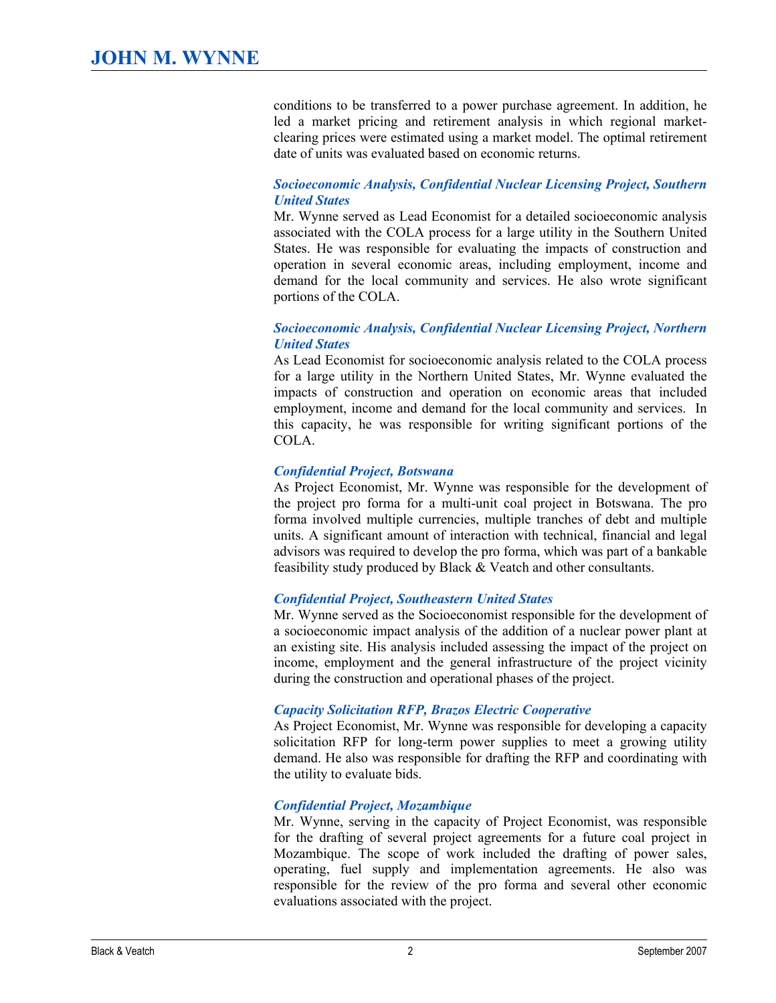conditions to be transferred to a power purchase agreement. In addition, he led a market pricing and retirement analysis in which regional marketclearing prices were estimated using a market model. The optimal retirement date of units was evaluated based on economic returns.

# *Socioeconomic Analysis, Confidential Nuclear Licensing Project, Southern United States*

Mr. Wynne served as Lead Economist for a detailed socioeconomic analysis associated with the COLA process for a large utility in the Southern United States. He was responsible for evaluating the impacts of construction and operation in several economic areas, including employment, income and demand for the local community and services. He also wrote significant portions of the COLA.

### *Socioeconomic Analysis, Confidential Nuclear Licensing Project, Northern United States*

As Lead Economist for socioeconomic analysis related to the COLA process for a large utility in the Northern United States, Mr. Wynne evaluated the impacts of construction and operation on economic areas that included employment, income and demand for the local community and services. In this capacity, he was responsible for writing significant portions of the COLA.

### *Confidential Project, Botswana*

As Project Economist, Mr. Wynne was responsible for the development of the project pro forma for a multi-unit coal project in Botswana. The pro forma involved multiple currencies, multiple tranches of debt and multiple units. A significant amount of interaction with technical, financial and legal advisors was required to develop the pro forma, which was part of a bankable feasibility study produced by Black & Veatch and other consultants.

# *Confidential Project, Southeastern United States*

Mr. Wynne served as the Socioeconomist responsible for the development of a socioeconomic impact analysis of the addition of a nuclear power plant at an existing site. His analysis included assessing the impact of the project on income, employment and the general infrastructure of the project vicinity during the construction and operational phases of the project.

# *Capacity Solicitation RFP, Brazos Electric Cooperative*

As Project Economist, Mr. Wynne was responsible for developing a capacity solicitation RFP for long-term power supplies to meet a growing utility demand. He also was responsible for drafting the RFP and coordinating with the utility to evaluate bids.

# *Confidential Project, Mozambique*

Mr. Wynne, serving in the capacity of Project Economist, was responsible for the drafting of several project agreements for a future coal project in Mozambique. The scope of work included the drafting of power sales, operating, fuel supply and implementation agreements. He also was responsible for the review of the pro forma and several other economic evaluations associated with the project.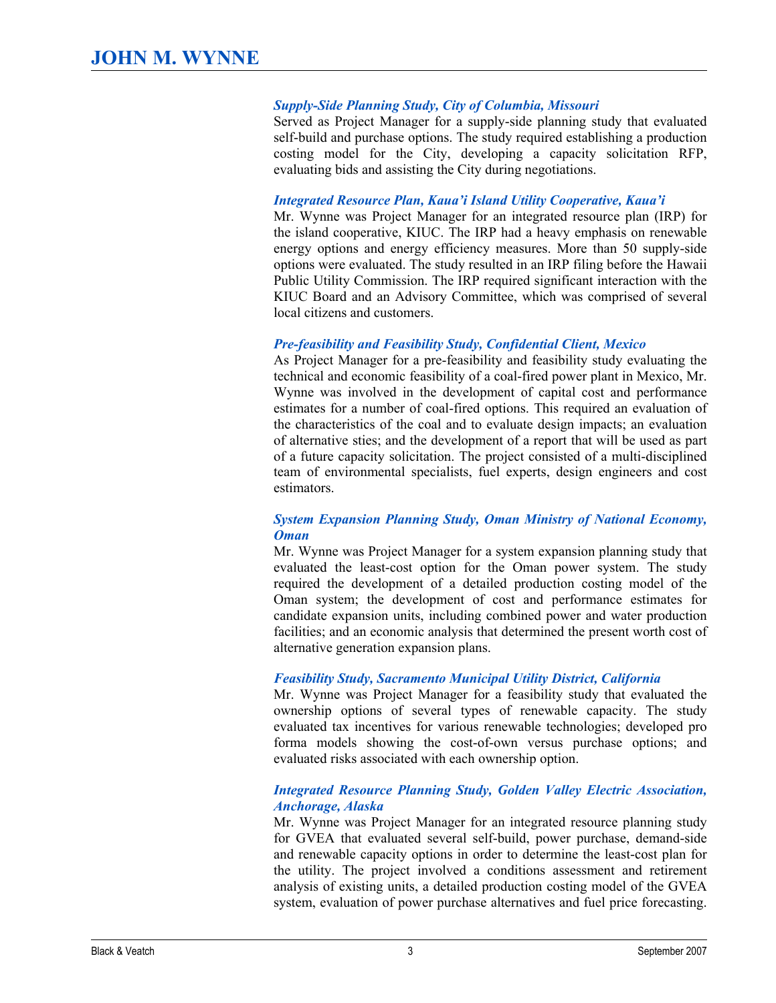### *SupplySide Planning Study, City of Columbia, Missouri*

Served as Project Manager for a supply-side planning study that evaluated self-build and purchase options. The study required establishing a production costing model for the City, developing a capacity solicitation RFP, evaluating bids and assisting the City during negotiations.

#### *Integrated Resource Plan, Kaua'i Island Utility Cooperative, Kaua'i*

Mr. Wynne was Project Manager for an integrated resource plan (IRP) for the island cooperative, KIUC. The IRP had a heavy emphasis on renewable energy options and energy efficiency measures. More than 50 supply-side options were evaluated. The study resulted in an IRP filing before the Hawaii Public Utility Commission. The IRP required significant interaction with the KIUC Board and an Advisory Committee, which was comprised of several local citizens and customers.

#### *Prefeasibility and Feasibility Study, Confidential Client, Mexico*

As Project Manager for a pre-feasibility and feasibility study evaluating the technical and economic feasibility of a coal-fired power plant in Mexico, Mr. Wynne was involved in the development of capital cost and performance estimates for a number of coal-fired options. This required an evaluation of the characteristics of the coal and to evaluate design impacts; an evaluation of alternative sties; and the development of a report that will be used as part of a future capacity solicitation. The project consisted of a multi-disciplined team of environmental specialists, fuel experts, design engineers and cost estimators.

### *System Expansion Planning Study, Oman Ministry of National Economy, Oman*

Mr. Wynne was Project Manager for a system expansion planning study that evaluated the least-cost option for the Oman power system. The study required the development of a detailed production costing model of the Oman system; the development of cost and performance estimates for candidate expansion units, including combined power and water production facilities; and an economic analysis that determined the present worth cost of alternative generation expansion plans.

#### *Feasibility Study, Sacramento Municipal Utility District, California*

Mr. Wynne was Project Manager for a feasibility study that evaluated the ownership options of several types of renewable capacity. The study evaluated tax incentives for various renewable technologies; developed pro forma models showing the cost-of-own versus purchase options; and evaluated risks associated with each ownership option.

### *Integrated Resource Planning Study, Golden Valley Electric Association, Anchorage, Alaska*

Mr. Wynne was Project Manager for an integrated resource planning study for GVEA that evaluated several self-build, power purchase, demand-side and renewable capacity options in order to determine the least-cost plan for the utility. The project involved a conditions assessment and retirement analysis of existing units, a detailed production costing model of the GVEA system, evaluation of power purchase alternatives and fuel price forecasting.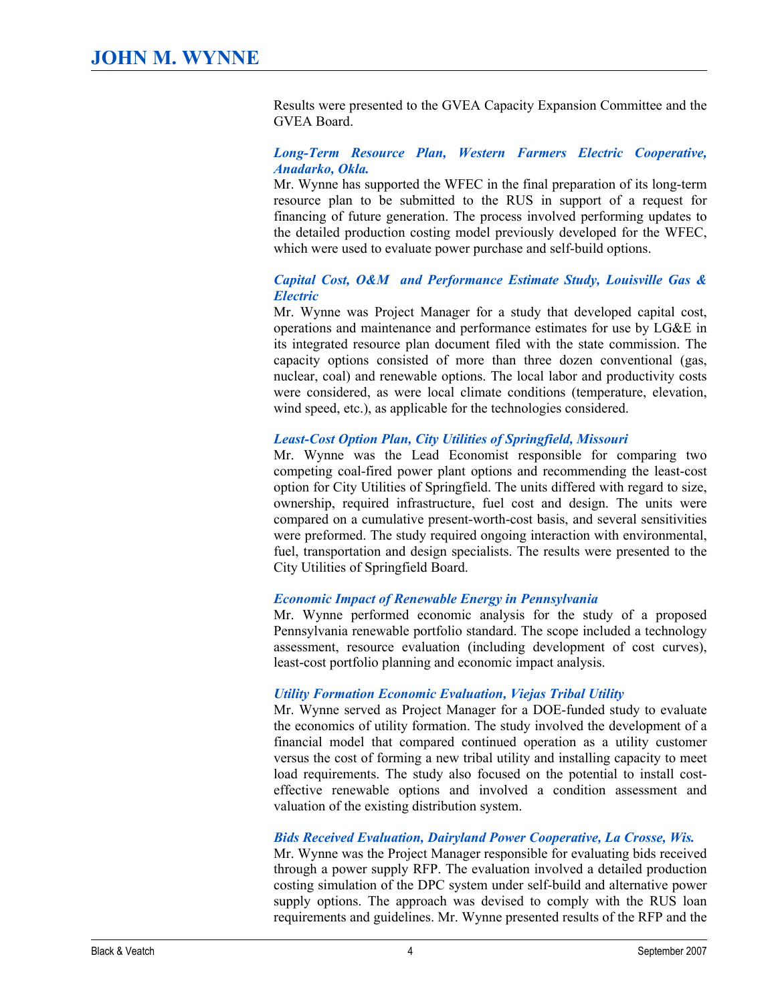Results were presented to the GVEA Capacity Expansion Committee and the GVEA Board.

#### *LongTerm Resource Plan, Western Farmers Electric Cooperative, Anadarko, Okla.*

Mr. Wynne has supported the WFEC in the final preparation of its long-term resource plan to be submitted to the RUS in support of a request for financing of future generation. The process involved performing updates to the detailed production costing model previously developed for the WFEC, which were used to evaluate power purchase and self-build options.

#### *Capital Cost, O&M and Performance Estimate Study, Louisville Gas & Electric*

Mr. Wynne was Project Manager for a study that developed capital cost, operations and maintenance and performance estimates for use by LG&E in its integrated resource plan document filed with the state commission. The capacity options consisted of more than three dozen conventional (gas, nuclear, coal) and renewable options. The local labor and productivity costs were considered, as were local climate conditions (temperature, elevation, wind speed, etc.), as applicable for the technologies considered.

#### **Least-Cost Option Plan, City Utilities of Springfield, Missouri**

Mr. Wynne was the Lead Economist responsible for comparing two competing coal-fired power plant options and recommending the least-cost option for City Utilities of Springfield. The units differed with regard to size, ownership, required infrastructure, fuel cost and design. The units were compared on a cumulative present-worth-cost basis, and several sensitivities were preformed. The study required ongoing interaction with environmental, fuel, transportation and design specialists. The results were presented to the City Utilities of Springfield Board.

# *Economic Impact of Renewable Energy in Pennsylvania*

Mr. Wynne performed economic analysis for the study of a proposed Pennsylvania renewable portfolio standard. The scope included a technology assessment, resource evaluation (including development of cost curves), least-cost portfolio planning and economic impact analysis.

# *Utility Formation Economic Evaluation, Viejas Tribal Utility*

Mr. Wynne served as Project Manager for a DOE-funded study to evaluate the economics of utility formation. The study involved the development of a financial model that compared continued operation as a utility customer versus the cost of forming a new tribal utility and installing capacity to meet load requirements. The study also focused on the potential to install costeffective renewable options and involved a condition assessment and valuation of the existing distribution system.

#### *Bids Received Evaluation, Dairyland Power Cooperative, La Crosse, Wis.*

Mr. Wynne was the Project Manager responsible for evaluating bids received through a power supply RFP. The evaluation involved a detailed production costing simulation of the DPC system under self-build and alternative power supply options. The approach was devised to comply with the RUS loan requirements and guidelines. Mr. Wynne presented results of the RFP and the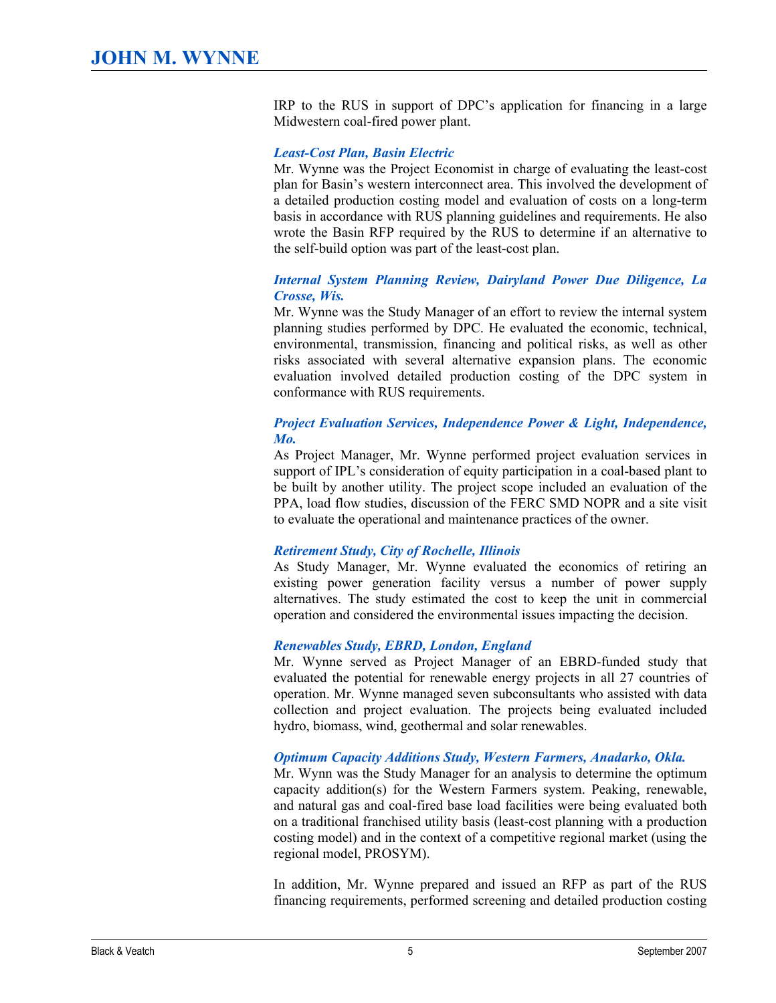IRP to the RUS in support of DPC's application for financing in a large Midwestern coal-fired power plant.

#### **Least-Cost Plan, Basin Electric**

Mr. Wynne was the Project Economist in charge of evaluating the least-cost plan for Basin's western interconnect area. This involved the development of a detailed production costing model and evaluation of costs on a long-term basis in accordance with RUS planning guidelines and requirements. He also wrote the Basin RFP required by the RUS to determine if an alternative to the self-build option was part of the least-cost plan.

#### *Internal System Planning Review, Dairyland Power Due Diligence, La Crosse, Wis.*

Mr. Wynne was the Study Manager of an effort to review the internal system planning studies performed by DPC. He evaluated the economic, technical, environmental, transmission, financing and political risks, as well as other risks associated with several alternative expansion plans. The economic evaluation involved detailed production costing of the DPC system in conformance with RUS requirements.

#### *Project Evaluation Services, Independence Power & Light, Independence, Mo.*

As Project Manager, Mr. Wynne performed project evaluation services in support of IPL's consideration of equity participation in a coal-based plant to be built by another utility. The project scope included an evaluation of the PPA, load flow studies, discussion of the FERC SMD NOPR and a site visit to evaluate the operational and maintenance practices of the owner.

#### *Retirement Study, City of Rochelle, Illinois*

As Study Manager, Mr. Wynne evaluated the economics of retiring an existing power generation facility versus a number of power supply alternatives. The study estimated the cost to keep the unit in commercial operation and considered the environmental issues impacting the decision.

#### *Renewables Study, EBRD, London, England*

Mr. Wynne served as Project Manager of an EBRD-funded study that evaluated the potential for renewable energy projects in all 27 countries of operation. Mr. Wynne managed seven subconsultants who assisted with data collection and project evaluation. The projects being evaluated included hydro, biomass, wind, geothermal and solar renewables.

#### *Optimum Capacity Additions Study, Western Farmers, Anadarko, Okla.*

Mr. Wynn was the Study Manager for an analysis to determine the optimum capacity addition(s) for the Western Farmers system. Peaking, renewable, and natural gas and coal-fired base load facilities were being evaluated both on a traditional franchised utility basis (least-cost planning with a production costing model) and in the context of a competitive regional market (using the regional model, PROSYM).

In addition, Mr. Wynne prepared and issued an RFP as part of the RUS financing requirements, performed screening and detailed production costing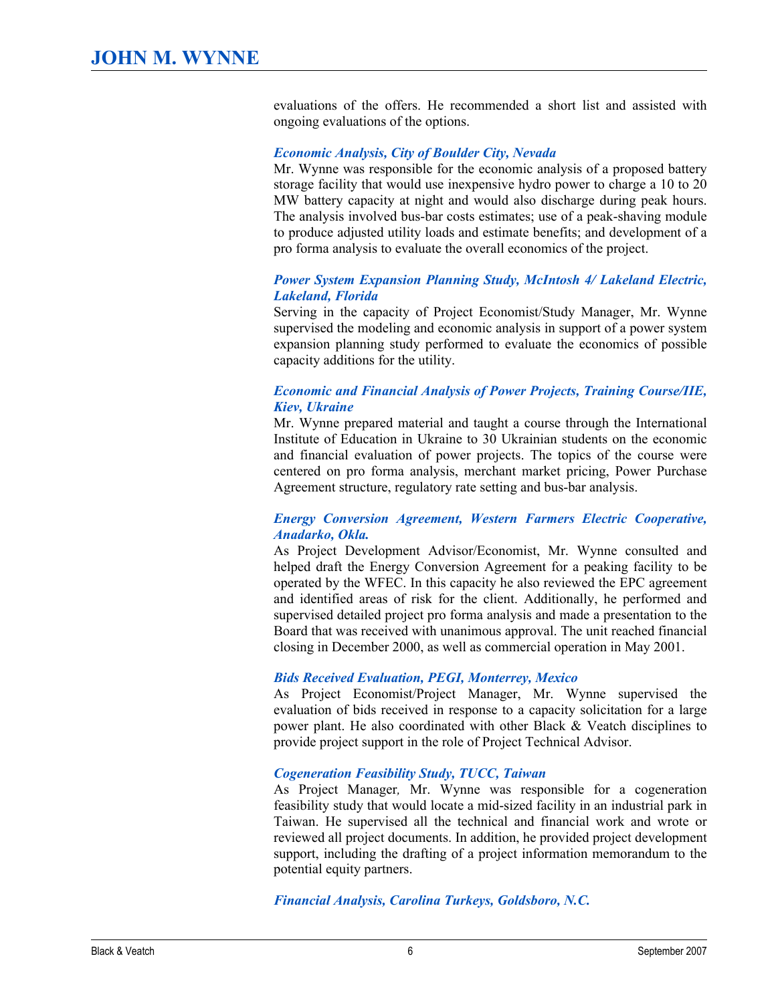evaluations of the offers. He recommended a short list and assisted with ongoing evaluations of the options.

#### *Economic Analysis, City of Boulder City, Nevada*

Mr. Wynne was responsible for the economic analysis of a proposed battery storage facility that would use inexpensive hydro power to charge a 10 to 20 MW battery capacity at night and would also discharge during peak hours. The analysis involved bus-bar costs estimates; use of a peak-shaving module to produce adjusted utility loads and estimate benefits; and development of a pro forma analysis to evaluate the overall economics of the project.

#### *Power System Expansion Planning Study, McIntosh 4/ Lakeland Electric, Lakeland, Florida*

Serving in the capacity of Project Economist/Study Manager, Mr. Wynne supervised the modeling and economic analysis in support of a power system expansion planning study performed to evaluate the economics of possible capacity additions for the utility.

#### *Economic and Financial Analysis of Power Projects, Training Course/IIE, Kiev, Ukraine*

Mr. Wynne prepared material and taught a course through the International Institute of Education in Ukraine to 30 Ukrainian students on the economic and financial evaluation of power projects. The topics of the course were centered on pro forma analysis, merchant market pricing, Power Purchase Agreement structure, regulatory rate setting and bus-bar analysis.

#### *Energy Conversion Agreement, Western Farmers Electric Cooperative, Anadarko, Okla.*

As Project Development Advisor/Economist, Mr. Wynne consulted and helped draft the Energy Conversion Agreement for a peaking facility to be operated by the WFEC. In this capacity he also reviewed the EPC agreement and identified areas of risk for the client. Additionally, he performed and supervised detailed project pro forma analysis and made a presentation to the Board that was received with unanimous approval. The unit reached financial closing in December 2000, as well as commercial operation in May 2001.

#### *Bids Received Evaluation, PEGI, Monterrey, Mexico*

As Project Economist/Project Manager, Mr. Wynne supervised the evaluation of bids received in response to a capacity solicitation for a large power plant. He also coordinated with other Black & Veatch disciplines to provide project support in the role of Project Technical Advisor.

#### *Cogeneration Feasibility Study, TUCC, Taiwan*

As Project Manager*,*  Mr. Wynne was responsible for a cogeneration feasibility study that would locate a mid-sized facility in an industrial park in Taiwan. He supervised all the technical and financial work and wrote or reviewed all project documents. In addition, he provided project development support, including the drafting of a project information memorandum to the potential equity partners.

*Financial Analysis, Carolina Turkeys, Goldsboro, N.C.*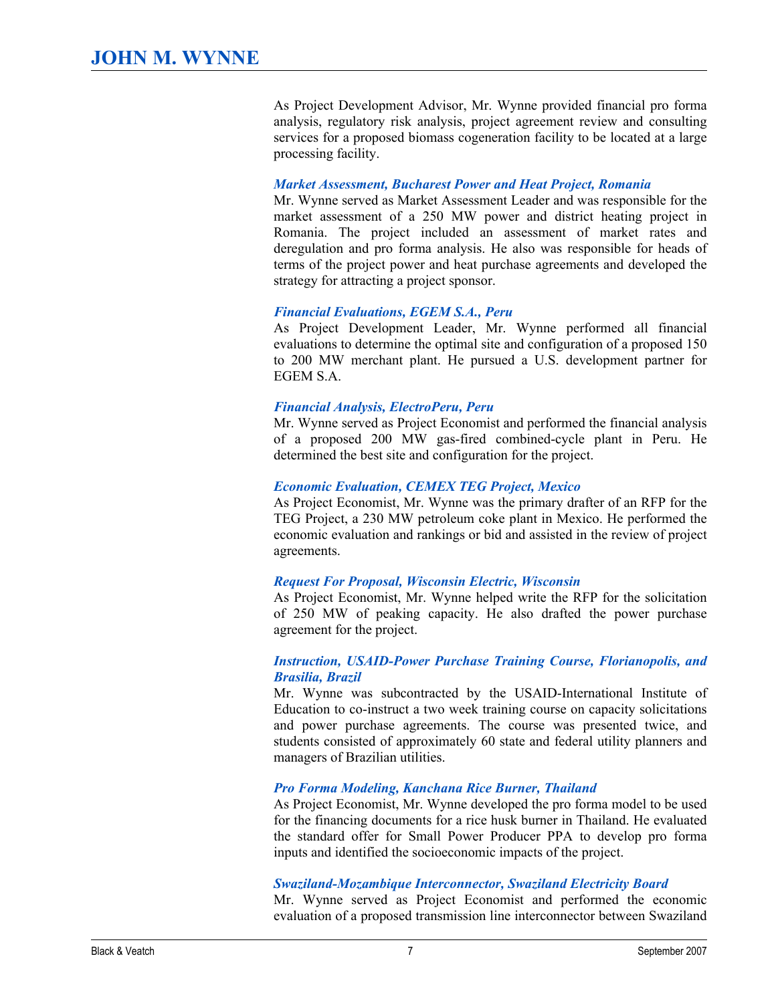As Project Development Advisor, Mr. Wynne provided financial pro forma analysis, regulatory risk analysis, project agreement review and consulting services for a proposed biomass cogeneration facility to be located at a large processing facility.

#### *Market Assessment, Bucharest Power and Heat Project, Romania*

Mr. Wynne served as Market Assessment Leader and was responsible for the market assessment of a 250 MW power and district heating project in Romania. The project included an assessment of market rates and deregulation and pro forma analysis. He also was responsible for heads of terms of the project power and heat purchase agreements and developed the strategy for attracting a project sponsor.

### *Financial Evaluations, EGEM S.A., Peru*

As Project Development Leader, Mr. Wynne performed all financial evaluations to determine the optimal site and configuration of a proposed 150 to 200 MW merchant plant. He pursued a U.S. development partner for EGEM S.A.

#### *Financial Analysis, ElectroPeru, Peru*

Mr. Wynne served as Project Economist and performed the financial analysis of a proposed 200 MW gas-fired combined-cycle plant in Peru. He determined the best site and configuration for the project.

#### *Economic Evaluation, CEMEX TEG Project, Mexico*

As Project Economist, Mr. Wynne was the primary drafter of an RFP for the TEG Project, a 230 MW petroleum coke plant in Mexico. He performed the economic evaluation and rankings or bid and assisted in the review of project agreements.

#### *Request For Proposal, Wisconsin Electric, Wisconsin*

As Project Economist, Mr. Wynne helped write the RFP for the solicitation of 250 MW of peaking capacity. He also drafted the power purchase agreement for the project.

### **Instruction, USAID-Power Purchase Training Course, Florianopolis, and** *Brasilia, Brazil*

Mr. Wynne was subcontracted by the USAID-International Institute of Education to co-instruct a two week training course on capacity solicitations and power purchase agreements. The course was presented twice, and students consisted of approximately 60 state and federal utility planners and managers of Brazilian utilities.

# *Pro Forma Modeling, Kanchana Rice Burner, Thailand*

As Project Economist, Mr. Wynne developed the pro forma model to be used for the financing documents for a rice husk burner in Thailand. He evaluated the standard offer for Small Power Producer PPA to develop pro forma inputs and identified the socioeconomic impacts of the project.

#### **Swaziland-Mozambique Interconnector, Swaziland Electricity Board**

Mr. Wynne served as Project Economist and performed the economic evaluation of a proposed transmission line interconnector between Swaziland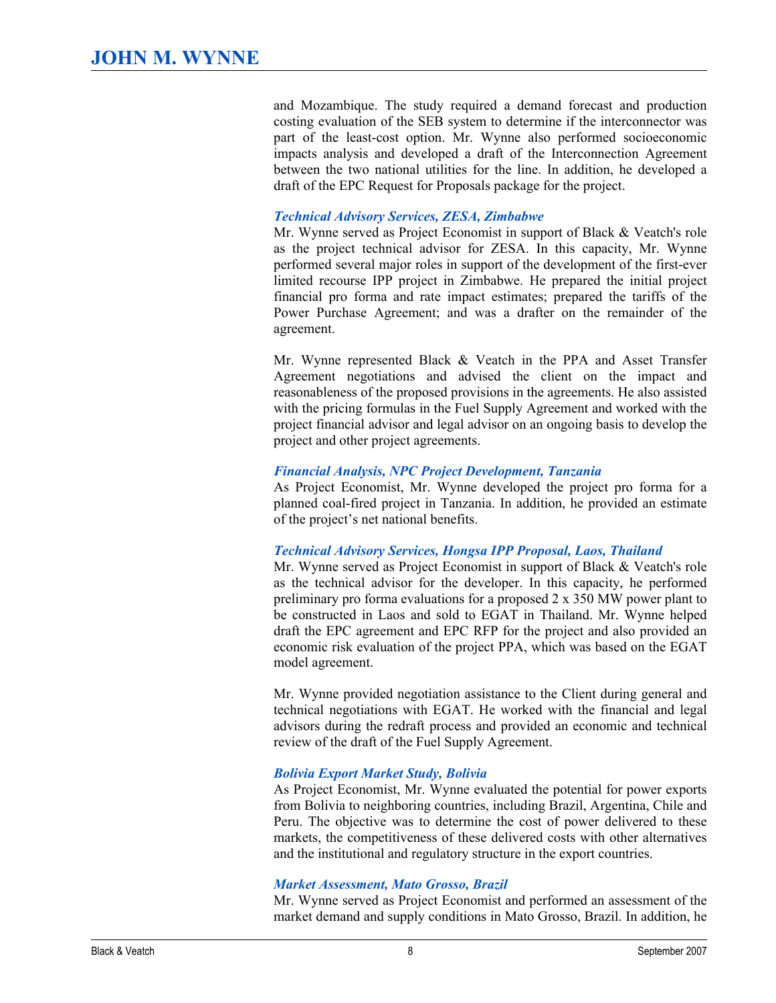and Mozambique. The study required a demand forecast and production costing evaluation of the SEB system to determine if the interconnector was part of the least-cost option. Mr. Wynne also performed socioeconomic impacts analysis and developed a draft of the Interconnection Agreement between the two national utilities for the line. In addition, he developed a draft of the EPC Request for Proposals package for the project.

# *Technical Advisory Services, ZESA, Zimbabwe*

Mr. Wynne served as Project Economist in support of Black & Veatch's role as the project technical advisor for ZESA. In this capacity, Mr. Wynne performed several major roles in support of the development of the first-ever limited recourse IPP project in Zimbabwe. He prepared the initial project financial pro forma and rate impact estimates; prepared the tariffs of the Power Purchase Agreement; and was a drafter on the remainder of the agreement.

Mr. Wynne represented Black & Veatch in the PPA and Asset Transfer Agreement negotiations and advised the client on the impact and reasonableness of the proposed provisions in the agreements. He also assisted with the pricing formulas in the Fuel Supply Agreement and worked with the project financial advisor and legal advisor on an ongoing basis to develop the project and other project agreements.

#### *Financial Analysis, NPC Project Development, Tanzania*

As Project Economist, Mr. Wynne developed the project pro forma for a planned coal-fired project in Tanzania. In addition, he provided an estimate of the project's net national benefits.

#### *Technical Advisory Services, Hongsa IPP Proposal, Laos, Thailand*

Mr. Wynne served as Project Economist in support of Black & Veatch's role as the technical advisor for the developer. In this capacity, he performed preliminary pro forma evaluations for a proposed 2 x 350 MW power plant to be constructed in Laos and sold to EGAT in Thailand. Mr. Wynne helped draft the EPC agreement and EPC RFP for the project and also provided an economic risk evaluation of the project PPA, which was based on the EGAT model agreement.

Mr. Wynne provided negotiation assistance to the Client during general and technical negotiations with EGAT. He worked with the financial and legal advisors during the redraft process and provided an economic and technical review of the draft of the Fuel Supply Agreement.

#### *Bolivia Export Market Study, Bolivia*

As Project Economist, Mr. Wynne evaluated the potential for power exports from Bolivia to neighboring countries, including Brazil, Argentina, Chile and Peru. The objective was to determine the cost of power delivered to these markets, the competitiveness of these delivered costs with other alternatives and the institutional and regulatory structure in the export countries.

#### *Market Assessment, Mato Grosso, Brazil*

Mr. Wynne served as Project Economist and performed an assessment of the market demand and supply conditions in Mato Grosso, Brazil. In addition, he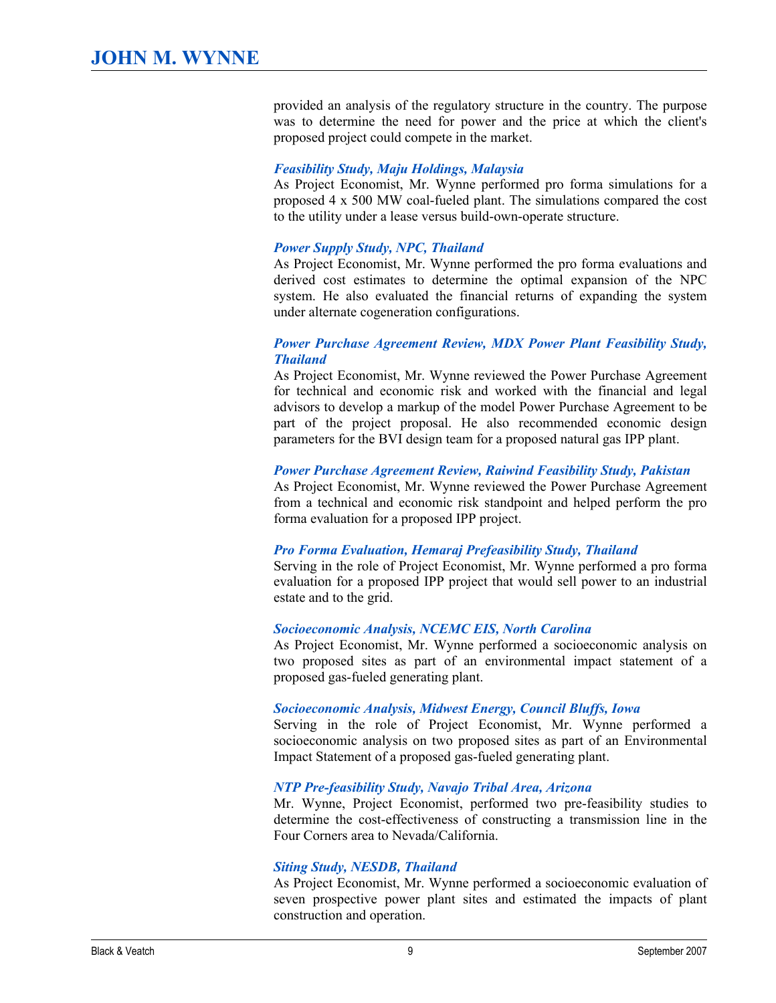provided an analysis of the regulatory structure in the country. The purpose was to determine the need for power and the price at which the client's proposed project could compete in the market.

#### *Feasibility Study, Maju Holdings, Malaysia*

As Project Economist, Mr. Wynne performed pro forma simulations for a proposed 4 x 500 MW coal-fueled plant. The simulations compared the cost to the utility under a lease versus build-own-operate structure.

#### *Power Supply Study, NPC, Thailand*

As Project Economist, Mr. Wynne performed the pro forma evaluations and derived cost estimates to determine the optimal expansion of the NPC system. He also evaluated the financial returns of expanding the system under alternate cogeneration configurations.

#### *Power Purchase Agreement Review, MDX Power Plant Feasibility Study, Thailand*

As Project Economist, Mr. Wynne reviewed the Power Purchase Agreement for technical and economic risk and worked with the financial and legal advisors to develop a markup of the model Power Purchase Agreement to be part of the project proposal. He also recommended economic design parameters for the BVI design team for a proposed natural gas IPP plant.

#### *Power Purchase Agreement Review, Raiwind Feasibility Study, Pakistan*

As Project Economist, Mr. Wynne reviewed the Power Purchase Agreement from a technical and economic risk standpoint and helped perform the pro forma evaluation for a proposed IPP project.

#### *Pro Forma Evaluation, Hemaraj Prefeasibility Study, Thailand*

Serving in the role of Project Economist, Mr. Wynne performed a pro forma evaluation for a proposed IPP project that would sell power to an industrial estate and to the grid.

#### *Socioeconomic Analysis, NCEMC EIS, North Carolina*

As Project Economist, Mr. Wynne performed a socioeconomic analysis on two proposed sites as part of an environmental impact statement of a proposed gas-fueled generating plant.

#### *Socioeconomic Analysis, Midwest Energy, Council Bluffs, Iowa*

Serving in the role of Project Economist, Mr. Wynne performed a socioeconomic analysis on two proposed sites as part of an Environmental Impact Statement of a proposed gas-fueled generating plant.

#### *NTP Prefeasibility Study, Navajo Tribal Area, Arizona*

Mr. Wynne, Project Economist, performed two pre-feasibility studies to determine the cost-effectiveness of constructing a transmission line in the Four Corners area to Nevada/California.

#### *Siting Study, NESDB, Thailand*

As Project Economist, Mr. Wynne performed a socioeconomic evaluation of seven prospective power plant sites and estimated the impacts of plant construction and operation.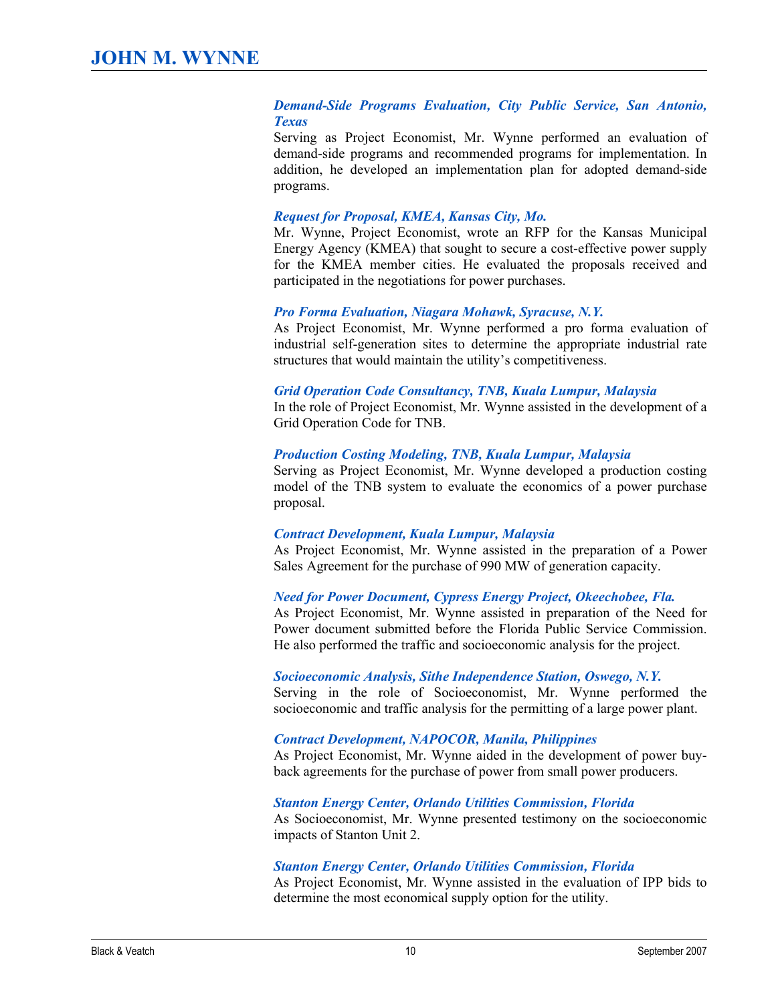#### *Demand-Side Programs Evaluation, City Public Service, San Antonio, Texas*

Serving as Project Economist, Mr. Wynne performed an evaluation of demand-side programs and recommended programs for implementation. In addition, he developed an implementation plan for adopted demand-side programs.

### *Request for Proposal, KMEA, Kansas City, Mo.*

Mr. Wynne, Project Economist, wrote an RFP for the Kansas Municipal Energy Agency (KMEA) that sought to secure a cost-effective power supply for the KMEA member cities. He evaluated the proposals received and participated in the negotiations for power purchases.

#### *Pro Forma Evaluation, Niagara Mohawk, Syracuse, N.Y.*

As Project Economist, Mr. Wynne performed a pro forma evaluation of industrial self-generation sites to determine the appropriate industrial rate structures that would maintain the utility's competitiveness.

#### *Grid Operation Code Consultancy, TNB, Kuala Lumpur, Malaysia*

In the role of Project Economist, Mr. Wynne assisted in the development of a Grid Operation Code for TNB.

#### *Production Costing Modeling, TNB, Kuala Lumpur, Malaysia*

Serving as Project Economist, Mr. Wynne developed a production costing model of the TNB system to evaluate the economics of a power purchase proposal.

#### *Contract Development, Kuala Lumpur, Malaysia*

As Project Economist, Mr. Wynne assisted in the preparation of a Power Sales Agreement for the purchase of 990 MW of generation capacity.

#### *Need for Power Document, Cypress Energy Project, Okeechobee, Fla.*

As Project Economist, Mr. Wynne assisted in preparation of the Need for Power document submitted before the Florida Public Service Commission. He also performed the traffic and socioeconomic analysis for the project.

#### *Socioeconomic Analysis, Sithe Independence Station, Oswego, N.Y.*

Serving in the role of Socioeconomist, Mr. Wynne performed the socioeconomic and traffic analysis for the permitting of a large power plant.

#### *Contract Development, NAPOCOR, Manila, Philippines*

As Project Economist, Mr. Wynne aided in the development of power buy back agreements for the purchase of power from small power producers.

#### *Stanton Energy Center, Orlando Utilities Commission, Florida*

As Socioeconomist, Mr. Wynne presented testimony on the socioeconomic impacts of Stanton Unit 2.

#### *Stanton Energy Center, Orlando Utilities Commission, Florida*

As Project Economist, Mr. Wynne assisted in the evaluation of IPP bids to determine the most economical supply option for the utility.